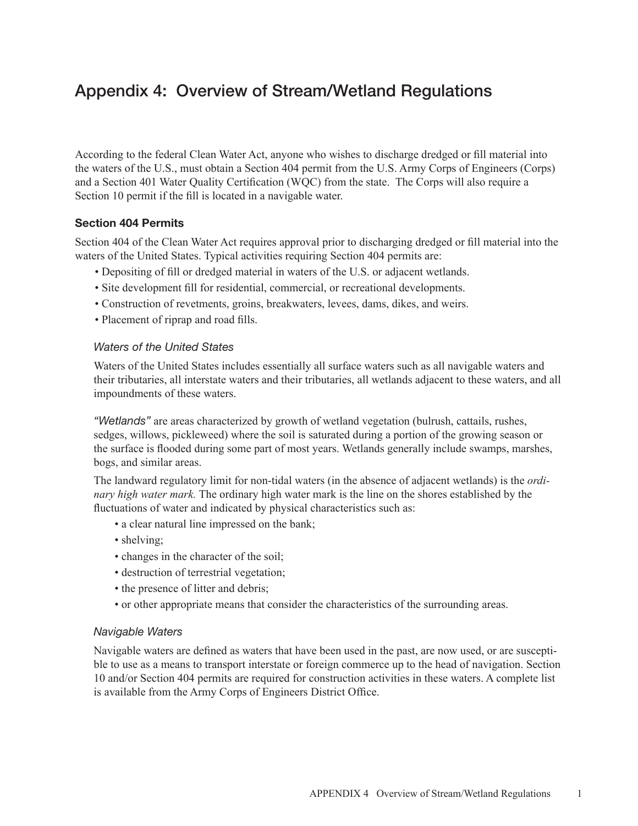# Appendix 4: Overview of Stream/Wetland Regulations

According to the federal Clean Water Act, anyone who wishes to discharge dredged or fill material into the waters of the U.S., must obtain a Section 404 permit from the U.S. Army Corps of Engineers (Corps) and a Section 401 Water Quality Certification (WQC) from the state. The Corps will also require a Section 10 permit if the fill is located in a navigable water.

# Section 404 Permits

Section 404 of the Clean Water Act requires approval prior to discharging dredged or fill material into the waters of the United States. Typical activities requiring Section 404 permits are:

- Depositing of fill or dredged material in waters of the U.S. or adjacent wetlands.
- Site development fill for residential, commercial, or recreational developments.
- Construction of revetments, groins, breakwaters, levees, dams, dikes, and weirs.
- Placement of riprap and road fills.

## *Waters of the United States*

Waters of the United States includes essentially all surface waters such as all navigable waters and their tributaries, all interstate waters and their tributaries, all wetlands adjacent to these waters, and all impoundments of these waters.

*"Wetlands"* are areas characterized by growth of wetland vegetation (bulrush, cattails, rushes, sedges, willows, pickleweed) where the soil is saturated during a portion of the growing season or the surface is flooded during some part of most years. Wetlands generally include swamps, marshes, bogs, and similar areas.

The landward regulatory limit for non-tidal waters (in the absence of adjacent wetlands) is the *ordinary high water mark.* The ordinary high water mark is the line on the shores established by the fluctuations of water and indicated by physical characteristics such as:

- a clear natural line impressed on the bank;
- shelving:
- changes in the character of the soil;
- destruction of terrestrial vegetation;
- the presence of litter and debris;
- or other appropriate means that consider the characteristics of the surrounding areas.

## *Navigable Waters*

Navigable waters are defined as waters that have been used in the past, are now used, or are susceptible to use as a means to transport interstate or foreign commerce up to the head of navigation. Section 10 and/or Section 404 permits are required for construction activities in these waters. A complete list is available from the Army Corps of Engineers District Office.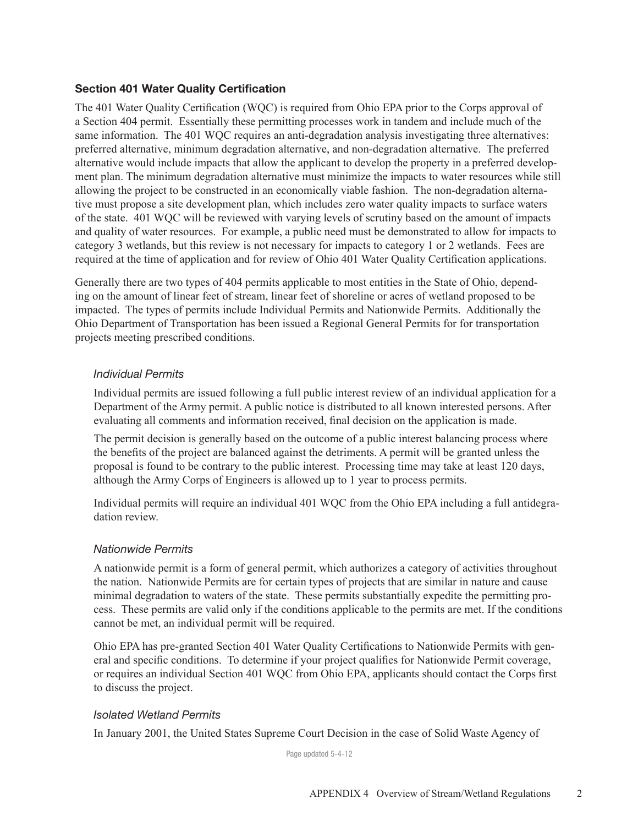# Section 401 Water Quality Certification

The 401 Water Quality Certification (WQC) is required from Ohio EPA prior to the Corps approval of a Section 404 permit. Essentially these permitting processes work in tandem and include much of the same information. The 401 WQC requires an anti-degradation analysis investigating three alternatives: preferred alternative, minimum degradation alternative, and non-degradation alternative. The preferred alternative would include impacts that allow the applicant to develop the property in a preferred development plan. The minimum degradation alternative must minimize the impacts to water resources while still allowing the project to be constructed in an economically viable fashion. The non-degradation alternative must propose a site development plan, which includes zero water quality impacts to surface waters of the state. 401 WQC will be reviewed with varying levels of scrutiny based on the amount of impacts and quality of water resources. For example, a public need must be demonstrated to allow for impacts to category 3 wetlands, but this review is not necessary for impacts to category 1 or 2 wetlands. Fees are required at the time of application and for review of Ohio 401 Water Quality Certification applications.

Generally there are two types of 404 permits applicable to most entities in the State of Ohio, depending on the amount of linear feet of stream, linear feet of shoreline or acres of wetland proposed to be impacted. The types of permits include Individual Permits and Nationwide Permits. Additionally the Ohio Department of Transportation has been issued a Regional General Permits for for transportation projects meeting prescribed conditions.

## *Individual Permits*

Individual permits are issued following a full public interest review of an individual application for a Department of the Army permit. A public notice is distributed to all known interested persons. After evaluating all comments and information received, final decision on the application is made.

The permit decision is generally based on the outcome of a public interest balancing process where the benefits of the project are balanced against the detriments. A permit will be granted unless the proposal is found to be contrary to the public interest. Processing time may take at least 120 days, although the Army Corps of Engineers is allowed up to 1 year to process permits.

Individual permits will require an individual 401 WQC from the Ohio EPA including a full antidegradation review.

## *Nationwide Permits*

A nationwide permit is a form of general permit, which authorizes a category of activities throughout the nation. Nationwide Permits are for certain types of projects that are similar in nature and cause minimal degradation to waters of the state. These permits substantially expedite the permitting process. These permits are valid only if the conditions applicable to the permits are met. If the conditions cannot be met, an individual permit will be required.

Ohio EPA has pre-granted Section 401 Water Quality Certifications to Nationwide Permits with general and specific conditions. To determine if your project qualifies for Nationwide Permit coverage, or requires an individual Section 401 WQC from Ohio EPA, applicants should contact the Corps first to discuss the project.

## *Isolated Wetland Permits*

In January 2001, the United States Supreme Court Decision in the case of Solid Waste Agency of

Page updated 5-4-12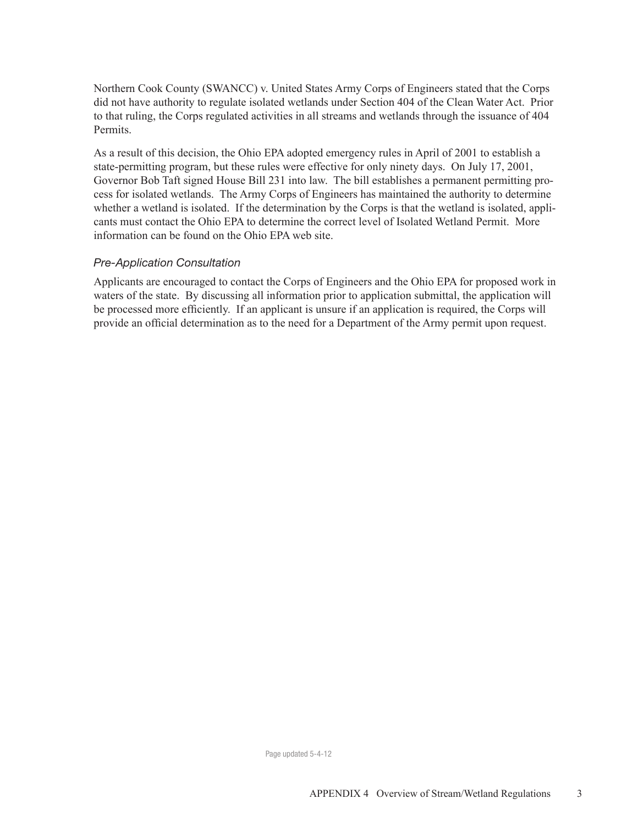Northern Cook County (SWANCC) v. United States Army Corps of Engineers stated that the Corps did not have authority to regulate isolated wetlands under Section 404 of the Clean Water Act. Prior to that ruling, the Corps regulated activities in all streams and wetlands through the issuance of 404 **Permits** 

As a result of this decision, the Ohio EPA adopted emergency rules in April of 2001 to establish a state-permitting program, but these rules were effective for only ninety days. On July 17, 2001, Governor Bob Taft signed House Bill 231 into law. The bill establishes a permanent permitting process for isolated wetlands. The Army Corps of Engineers has maintained the authority to determine whether a wetland is isolated. If the determination by the Corps is that the wetland is isolated, applicants must contact the Ohio EPA to determine the correct level of Isolated Wetland Permit. More information can be found on the Ohio EPA web site.

## *Pre-Application Consultation*

Applicants are encouraged to contact the Corps of Engineers and the Ohio EPA for proposed work in waters of the state. By discussing all information prior to application submittal, the application will be processed more efficiently. If an applicant is unsure if an application is required, the Corps will provide an official determination as to the need for a Department of the Army permit upon request.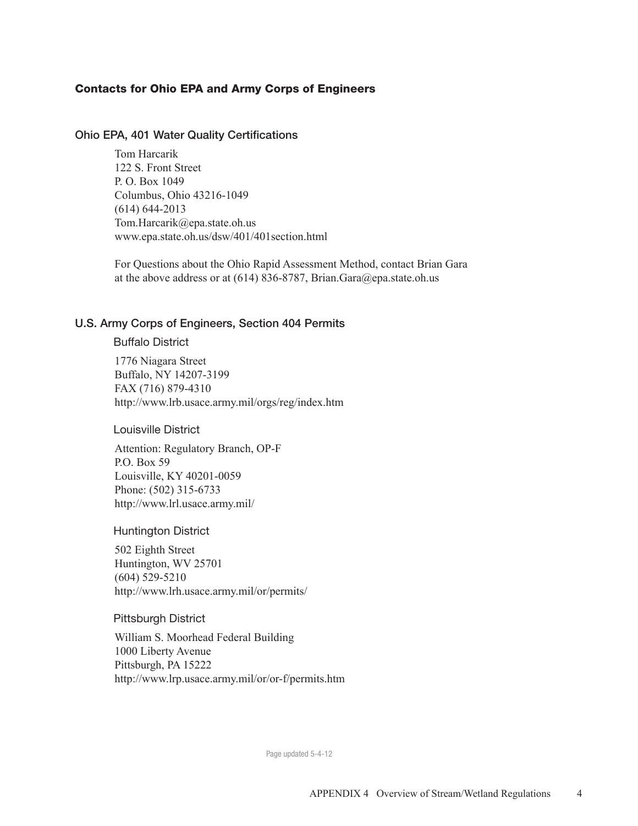# Contacts for Ohio EPA and Army Corps of Engineers

#### Ohio EPA, 401 Water Quality Certifications

Tom Harcarik 122 S. Front Street P. O. Box 1049 Columbus, Ohio 43216-1049 (614) 644-2013 Tom.Harcarik@epa.state.oh.us www.epa.state.oh.us/dsw/401/401section.html

For Questions about the Ohio Rapid Assessment Method, contact Brian Gara at the above address or at  $(614)$  836-8787, Brian.Gara@epa.state.oh.us

## U.S. Army Corps of Engineers, Section 404 Permits

#### Buffalo District

1776 Niagara Street Buffalo, NY 14207-3199 FAX (716) 879-4310 http://www.lrb.usace.army.mil/orgs/reg/index.htm

## Louisville District

Attention: Regulatory Branch, OP-F P.O. Box 59 Louisville, KY 40201-0059 Phone: (502) 315-6733 http://www.lrl.usace.army.mil/

#### Huntington District

502 Eighth Street Huntington, WV 25701 (604) 529-5210 http://www.lrh.usace.army.mil/or/permits/

#### Pittsburgh District

William S. Moorhead Federal Building 1000 Liberty Avenue Pittsburgh, PA 15222 http://www.lrp.usace.army.mil/or/or-f/permits.htm

Page updated 5-4-12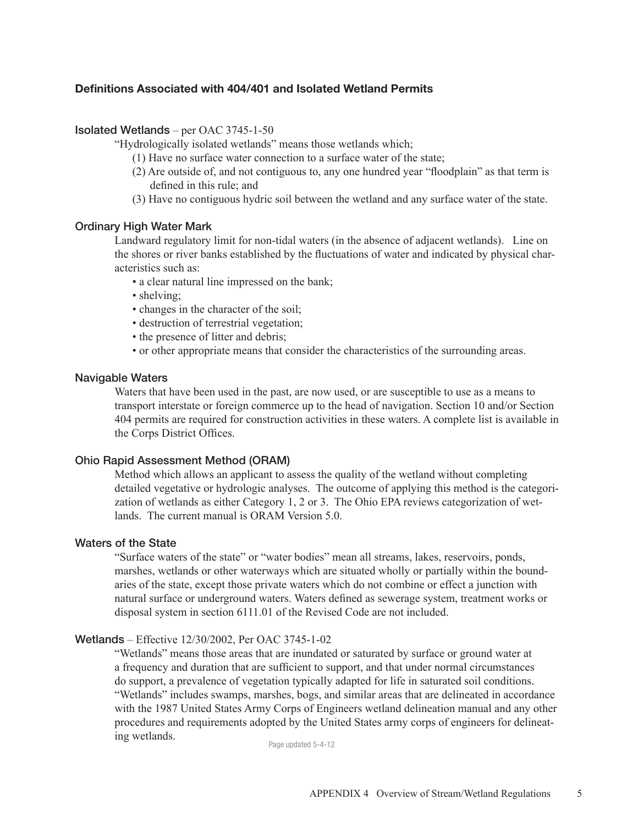# Definitions Associated with 404/401 and Isolated Wetland Permits

#### Isolated Wetlands – per OAC 3745-1-50

"Hydrologically isolated wetlands" means those wetlands which;

- (1) Have no surface water connection to a surface water of the state;
- (2) Are outside of, and not contiguous to, any one hundred year "floodplain" as that term is defined in this rule; and
- (3) Have no contiguous hydric soil between the wetland and any surface water of the state.

#### Ordinary High Water Mark

Landward regulatory limit for non-tidal waters (in the absence of adjacent wetlands). Line on the shores or river banks established by the fluctuations of water and indicated by physical characteristics such as:

- a clear natural line impressed on the bank;
- shelving:
- changes in the character of the soil;
- destruction of terrestrial vegetation;
- the presence of litter and debris;
- or other appropriate means that consider the characteristics of the surrounding areas.

## Navigable Waters

Waters that have been used in the past, are now used, or are susceptible to use as a means to transport interstate or foreign commerce up to the head of navigation. Section 10 and/or Section 404 permits are required for construction activities in these waters. A complete list is available in the Corps District Offices.

#### Ohio Rapid Assessment Method (ORAM)

Method which allows an applicant to assess the quality of the wetland without completing detailed vegetative or hydrologic analyses. The outcome of applying this method is the categorization of wetlands as either Category 1, 2 or 3. The Ohio EPA reviews categorization of wetlands. The current manual is ORAM Version 5.0.

#### Waters of the State

"Surface waters of the state" or "water bodies" mean all streams, lakes, reservoirs, ponds, marshes, wetlands or other waterways which are situated wholly or partially within the boundaries of the state, except those private waters which do not combine or effect a junction with natural surface or underground waters. Waters defined as sewerage system, treatment works or disposal system in section 6111.01 of the Revised Code are not included.

#### Wetlands – Effective 12/30/2002, Per OAC 3745-1-02

"Wetlands" means those areas that are inundated or saturated by surface or ground water at a frequency and duration that are sufficient to support, and that under normal circumstances do support, a prevalence of vegetation typically adapted for life in saturated soil conditions. "Wetlands" includes swamps, marshes, bogs, and similar areas that are delineated in accordance with the 1987 United States Army Corps of Engineers wetland delineation manual and any other procedures and requirements adopted by the United States army corps of engineers for delineating wetlands.<br>
Page updated 5-4-12